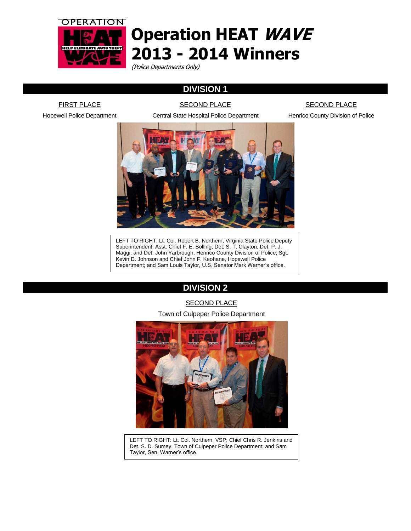

# **Operation HEAT WAVE 2013 - 2014 Winners**

(Police Departments Only)

# **DIVISION 1**

**SECOND PLACE** 

**FIRST PLACE** Hopewell Police Department

Central State Hospital Police Department

# **SECOND PLACE**

Henrico County Division of Police



LEFT TO RIGHT: Lt. Col. Robert B. Northern, Virginia State Police Deputy Superintendent; Asst. Chief F. E. Bolling, Det. S. T. Clayton, Det. P. J. Maggi, and Det. John Yarbrough, Henrico County Division of Police; Sgt. Kevin D. Johnson and Chief John F. Keohane, Hopewell Police Department; and Sam Louis Taylor, U.S. Senator Mark Warner's office.

# **DIVISION 2**

#### SECOND PLACE

#### Town of Culpeper Police Department



LEFT TO RIGHT: Lt. Col. Northern, VSP; Chief Chris R. Jenkins and Det. S. D. Sumey, Town of Culpeper Police Department; and Sam Taylor, Sen. Warner's office.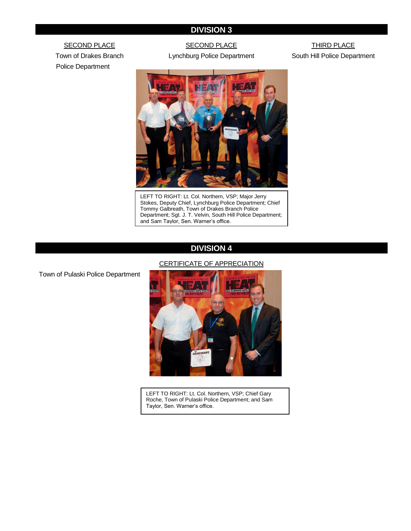## **DIVISION 3**

**SECOND PLACE** Town of Drakes Branch Police Department

## SECOND PLACE

Lynchburg Police Department

THIRD PLACE South Hill Police Department



LEFT TO RIGHT: Lt. Col. Northern, VSP; Major Jerry Stokes, Deputy Chief, Lynchburg Police Department; Chief Tommy Galbreath, Town of Drakes Branch Police Department; Sgt. J. T. Velvin, South Hill Police Department; and Sam Taylor, Sen. Warner's office.

#### **DIVISION 4**

#### CERTIFICATE OF APPRECIATION

Town of Pulaski Police Department



LEFT TO RIGHT: Lt. Col. Northern, VSP; Chief Gary Roche, Town of Pulaski Police Department; and Sam Taylor, Sen. Warner's office.